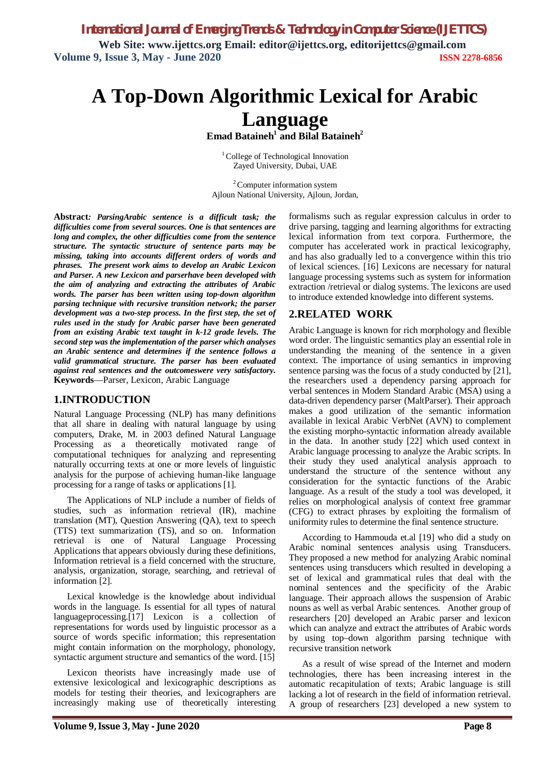*International Journal of Emerging Trends & Technology in Computer Science (IJETTCS)* **Web Site: www.ijettcs.org Email: editor@ijettcs.org, [editorijettcs@gmail.com](mailto:editorijettcs@gmail.com)  Volume 9, Issue 3, May - June 2020 ISSN 2278-6856**

# **A Top-Down Algorithmic Lexical for Arabic Language**

**Emad Bataineh<sup>1</sup> and Bilal Bataineh<sup>2</sup>**

<sup>1</sup> College of Technological Innovation Zayed University, Dubai, UAE

<sup>2</sup> Computer information system Ajloun National University, Ajloun, Jordan,

**Abstract***: ParsingArabic sentence is a difficult task; the difficulties come from several sources. One is that sentences are long and complex, the other difficulties come from the sentence structure. The syntactic structure of sentence parts may be missing, taking into accounts different orders of words and phrases. The present work aims to develop an Arabic Lexicon and Parser. A new Lexicon and parserhave been developed with the aim of analyzing and extracting the attributes of Arabic words. The parser has been written using top-down algorithm parsing technique with recursive transition network; the parser development was a two-step process. In the first step, the set of rules used in the study for Arabic parser have been generated from an existing Arabic text taught in k-12 grade levels. The second step was the implementation of the parser which analyses an Arabic sentence and determines if the sentence follows a valid grammatical structure. The parser has been evaluated against real sentences and the outcomeswere very satisfactory.*  **Keywords**—Parser, Lexicon, Arabic Language

## **1.INTRODUCTION**

Natural Language Processing (NLP) has many definitions that all share in dealing with natural language by using computers, Drake, M. in 2003 defined Natural Language Processing as a theoretically motivated range of computational techniques for analyzing and representing naturally occurring texts at one or more levels of linguistic analysis for the purpose of achieving human-like language processing for a range of tasks or applications [1].

The Applications of NLP include a number of fields of studies, such as information retrieval (IR), machine translation (MT), Question Answering (QA), text to speech (TTS) text summarization (TS), and so on. Information retrieval is one of Natural Language Processing Applications that appears obviously during these definitions, Information retrieval is a field concerned with the structure, analysis, organization, storage, searching, and retrieval of information [2].

Lexical knowledge is the knowledge about individual words in the language. Is essential for all types of natural languageprocessing.[17] Lexicon is a collection of representations for words used by linguistic processor as a source of words specific information; this representation might contain information on the morphology, phonology, syntactic argument structure and semantics of the word. [15]

Lexicon theorists have increasingly made use of extensive lexicological and lexicographic descriptions as models for testing their theories, and lexicographers are increasingly making use of theoretically interesting

formalisms such as regular expression calculus in order to drive parsing, tagging and learning algorithms for extracting lexical information from text corpora. Furthermore, the computer has accelerated work in practical lexicography, and has also gradually led to a convergence within this trio of lexical sciences. [16] Lexicons are necessary for natural language processing systems such as system for information extraction /retrieval or dialog systems. The lexicons are used to introduce extended knowledge into different systems.

## **2.RELATED WORK**

Arabic Language is known for rich morphology and flexible word order. The linguistic semantics play an essential role in understanding the meaning of the sentence in a given context. The importance of using semantics in improving sentence parsing was the focus of a study conducted by [21], the researchers used a dependency parsing approach for verbal sentences in Modern Standard Arabic (MSA) using a data-driven dependency parser (MaltParser). Their approach makes a good utilization of the semantic information available in lexical Arabic VerbNet (AVN) to complement the existing morpho-syntactic information already available in the data. In another study [22] which used context in Arabic language processing to analyze the Arabic scripts. In their study they used analytical analysis approach to understand the structure of the sentence without any consideration for the syntactic functions of the Arabic language. As a result of the study a tool was developed, it relies on morphological analysis of context free grammar (CFG) to extract phrases by exploiting the formalism of uniformity rules to determine the final sentence structure.

According to Hammouda et.al [19] who did a study on Arabic nominal sentences analysis using Transducers. They proposed a new method for analyzing Arabic nominal sentences using transducers which resulted in developing a set of lexical and grammatical rules that deal with the nominal sentences and the specificity of the Arabic language. Their approach allows the suspension of Arabic nouns as well as verbal Arabic sentences. Another group of researchers [20] developed an Arabic parser and lexicon which can analyze and extract the attributes of Arabic words by using top–down algorithm parsing technique with recursive transition network

As a result of wise spread of the Internet and modern technologies, there has been increasing interest in the automatic recapitulation of texts; Arabic language is still lacking a lot of research in the field of information retrieval. A group of researchers [23] developed a new system to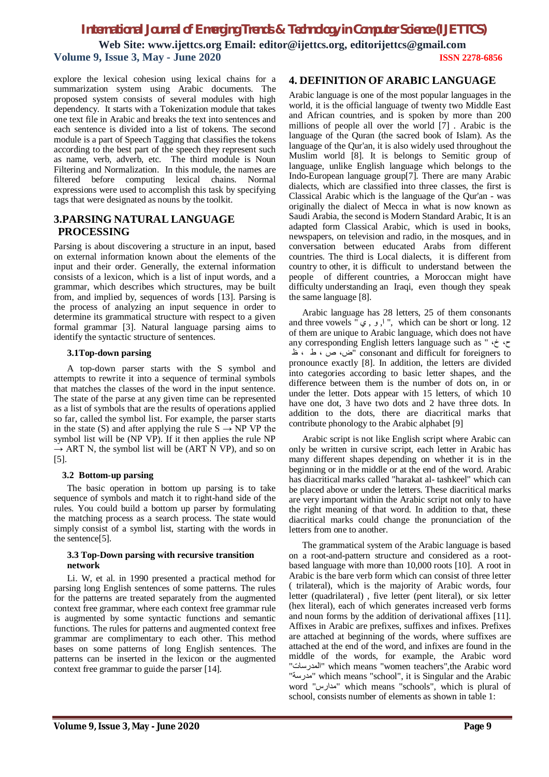# *International Journal of Emerging Trends & Technology in Computer Science (IJETTCS)* **Web Site: www.ijettcs.org Email: editor@ijettcs.org, [editorijettcs@gmail.com](mailto:editorijettcs@gmail.com)  Volume 9, Issue 3, May - June 2020 ISSN 2278-6856**

explore the lexical cohesion using lexical chains for a summarization system using Arabic documents. The proposed system consists of several modules with high dependency. It starts with a Tokenization module that takes one text file in Arabic and breaks the text into sentences and each sentence is divided into a list of tokens. The second module is a part of Speech Tagging that classifies the tokens according to the best part of the speech they represent such as name, verb, adverb, etc. The third module is Noun Filtering and Normalization. In this module, the names are filtered before computing lexical chains. Normal expressions were used to accomplish this task by specifying tags that were designated as nouns by the toolkit.

### **3.PARSING NATURAL LANGUAGE PROCESSING**

Parsing is about discovering a structure in an input, based on external information known about the elements of the input and their order. Generally, the external information consists of a lexicon, which is a list of input words, and a grammar, which describes which structures, may be built from, and implied by, sequences of words [13]. Parsing is the process of analyzing an input sequence in order to determine its grammatical structure with respect to a given formal grammar [3]. Natural language parsing aims to identify the syntactic structure of sentences.

#### **3.1Top-down parsing**

A top-down parser starts with the S symbol and attempts to rewrite it into a sequence of terminal symbols that matches the classes of the word in the input sentence. The state of the parse at any given time can be represented as a list of symbols that are the results of operations applied so far, called the symbol list. For example, the parser starts in the state (S) and after applying the rule  $S \rightarrow NP VP$  the symbol list will be (NP VP). If it then applies the rule NP  $\rightarrow$  ART N, the symbol list will be (ART N VP), and so on [5].

#### **3.2 Bottom-up parsing**

The basic operation in bottom up parsing is to take sequence of symbols and match it to right-hand side of the rules. You could build a bottom up parser by formulating the matching process as a search process. The state would simply consist of a symbol list, starting with the words in the sentence[5].

#### **3.3 Top-Down parsing with recursive transition network**

Li. W, et al. in 1990 presented a practical method for parsing long English sentences of some patterns. The rules for the patterns are treated separately from the augmented context free grammar, where each context free grammar rule is augmented by some syntactic functions and semantic functions. The rules for patterns and augmented context free grammar are complimentary to each other. This method bases on some patterns of long English sentences. The patterns can be inserted in the lexicon or the augmented context free grammar to guide the parser [14].

#### **4. DEFINITION OF ARABIC LANGUAGE**

Arabic language is one of the most popular languages in the world, it is the official language of twenty two Middle East and African countries, and is spoken by more than 200 millions of people all over the world [7] . Arabic is the language of the Quran (the sacred book of Islam). As the language of the Qur'an, it is also widely used throughout the Muslim world [8]. It is belongs to Semitic group of language, unlike English language which belongs to the Indo-European language group[7]. There are many Arabic dialects, which are classified into three classes, the first is Classical Arabic which is the language of the Qur'an - was originally the dialect of Mecca in what is now known as Saudi Arabia, the second is Modern Standard Arabic, It is an adapted form Classical Arabic, which is used in books, newspapers, on television and radio, in the mosques, and in conversation between educated Arabs from different countries. The third is Local dialects, it is different from country to other, it is difficult to understand between the people of different countries, a Moroccan might have difficulty understanding an Iraqi, even though they speak the same language [8].

Arabic language has 28 letters, 25 of them consonants and three vowels ", و , ي $\vert$ ", which can be short or long. 12 of them are unique to Arabic language, which does not have any corresponding English letters language such as " ،خ ،ح ظ ، ط ، ص ،ض "consonant and difficult for foreigners to pronounce exactly [8]. In addition, the letters are divided into categories according to basic letter shapes, and the difference between them is the number of dots on, in or under the letter. Dots appear with 15 letters, of which 10 have one dot, 3 have two dots and 2 have three dots. In addition to the dots, there are diacritical marks that contribute phonology to the Arabic alphabet [9]

Arabic script is not like English script where Arabic can only be written in cursive script, each letter in Arabic has many different shapes depending on whether it is in the beginning or in the middle or at the end of the word. Arabic has diacritical marks called "harakat al- tashkeel" which can be placed above or under the letters. These diacritical marks are very important within the Arabic script not only to have the right meaning of that word. In addition to that, these diacritical marks could change the pronunciation of the letters from one to another.

The grammatical system of the Arabic language is based on a root-and-pattern structure and considered as a rootbased language with more than 10,000 roots [10]. A root in Arabic is the bare verb form which can consist of three letter ( trilateral), which is the majority of Arabic words, four letter (quadrilateral) , five letter (pent literal), or six letter (hex literal), each of which generates increased verb forms and noun forms by the addition of derivational affixes [11]. Affixes in Arabic are prefixes, suffixes and infixes. Prefixes are attached at beginning of the words, where suffixes are attached at the end of the word, and infixes are found in the middle of the words, for example, the Arabic word "المدرسات "which means "women teachers",the Arabic word "مدرسة "which means "school", it is Singular and the Arabic word "مدارس "which means "schools", which is plural of school, consists number of elements as shown in table 1: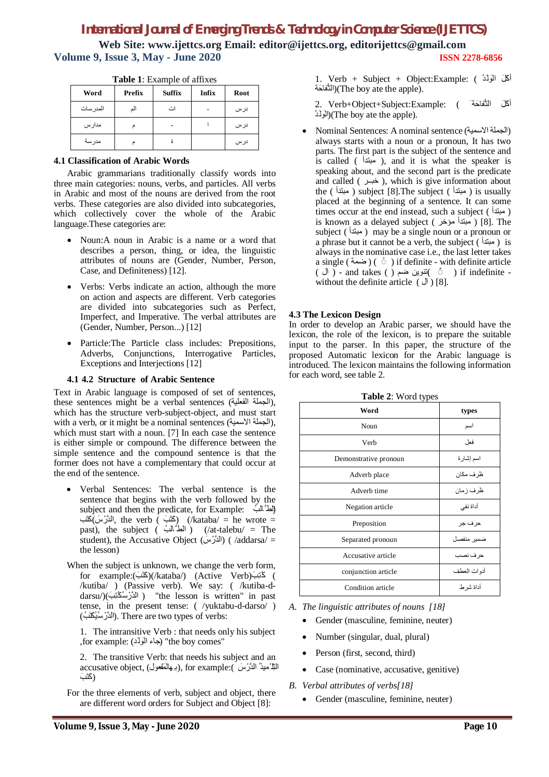**Web Site: www.ijettcs.org Email: editor@ijettcs.org, [editorijettcs@gmail.com](mailto:editorijettcs@gmail.com)  Volume 9, Issue 3, May - June 2020 ISSN 2278-6856**

| <b>THOIC</b> 1. Enteringle of alleged |        |               |       |      |
|---------------------------------------|--------|---------------|-------|------|
| Word                                  | Prefix | <b>Suffix</b> | Infix | Root |
| المدر سات                             |        | اث            |       | درس  |
| مدارس                                 |        |               |       | درس  |
| مدرسة                                 |        | ã             |       | درس  |

**Table 1**: Example of affixes

#### **4.1 Classification of Arabic Words**

Arabic grammarians traditionally classify words into three main categories: nouns, verbs, and particles. All verbs in Arabic and most of the nouns are derived from the root verbs. These categories are also divided into subcategories, which collectively cover the whole of the Arabic language.These categories are:

- Noun:A noun in Arabic is a name or a word that describes a person, thing, or idea, the linguistic attributes of nouns are (Gender, Number, Person, Case, and Definiteness) [12].
- Verbs: Verbs indicate an action, although the more on action and aspects are different. Verb categories are divided into subcategories such as Perfect, Imperfect, and Imperative. The verbal attributes are (Gender, Number, Person...) [12]
- Particle:The Particle class includes: Prepositions, Adverbs, Conjunctions, Interrogative Particles, Exceptions and Interjections [12]

#### **4.1 4.2 Structure of Arabic Sentence**

Text in Arabic language is composed of set of sentences, these sentences might be a verbal sentences (الجملة الفعلية), which has the structure verb-subject-object, and must start with a verb, or it might be a nominal sentences (الجملة الإسمية). which must start with a noun. [7] In each case the sentence is either simple or compound. The difference between the simple sentence and the compound sentence is that the former does not have a complementary that could occur at the end of the sentence.

- Verbal Sentences: The verbal sentence is the sentence that begins with the verb followed by the subject and then the predicate, for Example:  $\left( \frac{1}{2} \right)$ الدَّرْسَ) (kataba/ = he wrote = /kataba/) (كَتَبَ ) (kataba/ = he wrote = past), the subject ( الطَّالب) ( /at-talebu/ = The student), the Accusative Object (الدَّرْسَ) (/addarsa/ = the lesson)
- When the subject is unknown, we change the verb form, ) كُتِبَ (Verb Active) (/kataba/)(كَتَبَ ):example for /kutiba/ ) (Passive verb). We say: ( /kutiba-ddarsu/)( َبِتُكُس ْالدَّر" ( the lesson is written" in past tense, in the present tense: ( /yuktabu-d-darso/ ) :verbs of types two are There .)الدَّرْ سُیُكْتَبُ )

1. The intransitive Verb : that needs only his subject for example: (جَاء الْوَلَّد) "the boy comes"

2. The transitive Verb: that needs his subject and an accusative object, (بِهِالْمَفْعُول), for example:( اللَّهُ مِیْذُ الدَّرْسَ ) (كَتَبَ

For the three elements of verb, subject and object, there are different word orders for Subject and Object [8]:

أكَلَ التُّفاحَة َ ) :Example:Subject+Object+Verb 2. ُدَل َالو)(The boy ate the apple).

 Nominal Sentences: A nominal sentence (الاسمیة الجملة( always starts with a noun or a pronoun, It has two parts. The first part is the subject of the sentence and is called (  $\rho$  , and it is what the speaker is speaking about, and the second part is the predicate and called ( خبر ), which is give information about the ( مبتدأ ( subject [8].The subject ( مبتدأ ( is usually placed at the beginning of a sentence. It can some times occur at the end instead, such a subject ( مبتدأ ( is known as a delayed subject ( مبتدأ مؤخر ) [8]. The subject ( مبتدأ ( may be a single noun or a pronoun or a phrase but it cannot be a verb, the subject ( $\alpha$  ) is always in the nominative case i.e., the last letter takes a single ( ضمة ) (  $\circ$  ) if definite - with definite article ( ال ) - and takes ( ) نتوین ضم ) if indefinite without the definite article  $( \cup )$  [8].

#### **4.3 The Lexicon Design**

In order to develop an Arabic parser, we should have the lexicon, the role of the lexicon, is to prepare the suitable input to the parser. In this paper, the structure of the proposed Automatic lexicon for the Arabic language is introduced. The lexicon maintains the following information for each word, see table 2.

| 77 L J                |              |  |  |
|-----------------------|--------------|--|--|
| Word                  | types        |  |  |
| Noun                  | اسم          |  |  |
| Verb                  | فعل          |  |  |
| Demonstrative pronoun | اسم إشارة    |  |  |
| Adverb place          | ظر ف مكان    |  |  |
| Adverb time           | ظرف زمان     |  |  |
| Negation article      | أداة نفى     |  |  |
| Preposition           | حرف جر       |  |  |
| Separated pronoun     | ضمير منفصل   |  |  |
| Accusative article    | حرف نصب      |  |  |
| conjunction article   | أدو ات العطف |  |  |
| Condition article     | أداة شر ط    |  |  |

**Table 2**: Word types

*A. The linguistic attributes of nouns [18]*

- Gender (masculine, feminine, neuter)
- Number (singular, dual, plural)
- Person (first, second, third)
- Case (nominative, accusative, genitive)
- *B. Verbal attributes of verbs[18]*
	- Gender (masculine, feminine, neuter)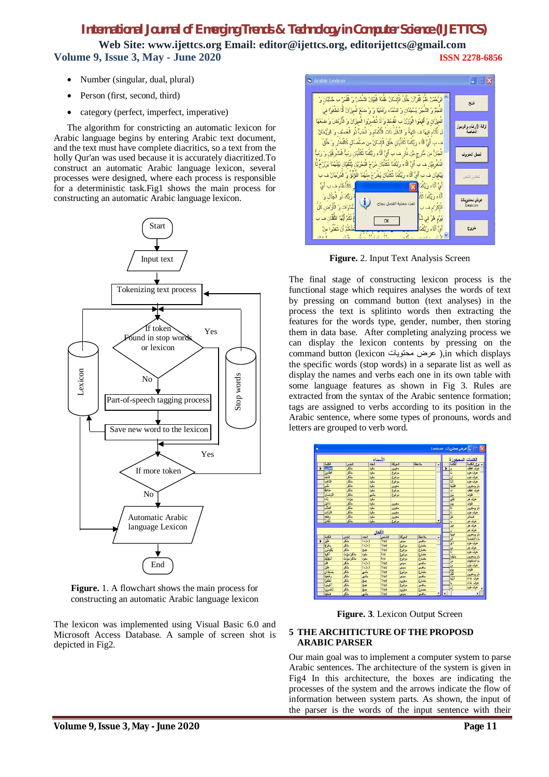**Web Site: www.ijettcs.org Email: editor@ijettcs.org, [editorijettcs@gmail.com](mailto:editorijettcs@gmail.com)  Volume 9, Issue 3, May - June 2020 ISSN 2278-6856**

- Number (singular, dual, plural)
- Person (first, second, third)
- category (perfect, imperfect, imperative)

The algorithm for constricting an automatic lexicon for Arabic language begins by entering Arabic text document, and the text must have complete diacritics, so a text from the holly Qur'an was used because it is accurately diacritized.To construct an automatic Arabic language lexicon, several processes were designed, where each process is responsible for a deterministic task.Fig1 shows the main process for constructing an automatic Arabic language lexicon.



**Figure.** 1. A flowchart shows the main process for constructing an automatic Arabic language lexicon

The lexicon was implemented using Visual Basic 6.0 and Microsoft Access Database. A sample of screen shot is depicted in Fig2.



**Figure.** 2. Input Text Analysis Screen

The final stage of constructing lexicon process is the functional stage which requires analyses the words of text by pressing on command button (text analyses) in the process the text is splitinto words then extracting the features for the words type, gender, number, then storing them in data base. After completing analyzing process we can display the lexicon contents by pressing on the command button (lexicon عرض محتویات),in which displays the specific words (stop words) in a separate list as well as display the names and verbs each one in its own table with some language features as shown in Fig 3. Rules are extracted from the syntax of the Arabic sentence formation; tags are assigned to verbs according to its position in the Arabic sentence, where some types of pronouns, words and letters are grouped to verb word.



**Figure. 3**. Lexicon Output Screen

#### **5 THE ARCHITICTURE OF THE PROPOSD ARABIC PARSER**

Our main goal was to implement a computer system to parse Arabic sentences. The architecture of the system is given in Fig4 In this architecture, the boxes are indicating the processes of the system and the arrows indicate the flow of information between system parts. As shown, the input of the parser is the words of the input sentence with their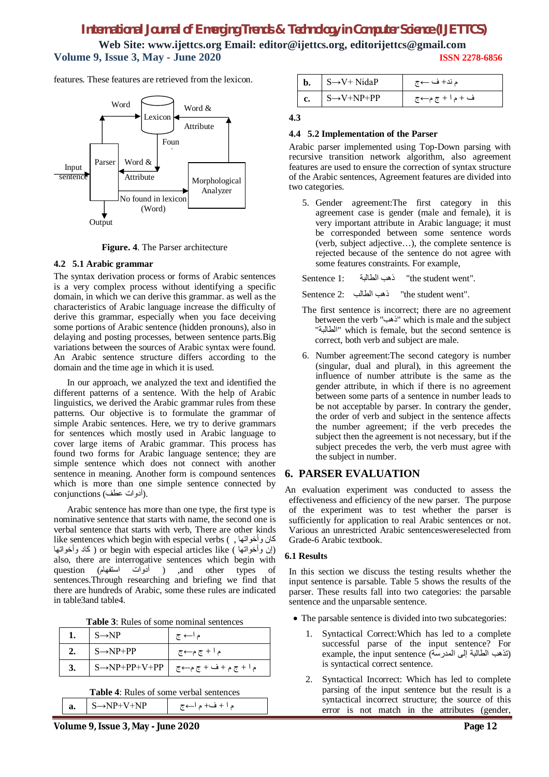**Web Site: www.ijettcs.org Email: editor@ijettcs.org, [editorijettcs@gmail.com](mailto:editorijettcs@gmail.com)  Volume 9, Issue 3, May - June 2020 ISSN 2278-6856**

features. These features are retrieved from the lexicon.



**Figure. 4**. The Parser architecture

#### **4.2 5.1 Arabic grammar**

The syntax derivation process or forms of Arabic sentences is a very complex process without identifying a specific domain, in which we can derive this grammar. as well as the characteristics of Arabic language increase the difficulty of derive this grammar, especially when you face deceiving some portions of Arabic sentence (hidden pronouns), also in delaying and posting processes, between sentence parts.Big variations between the sources of Arabic syntax were found. An Arabic sentence structure differs according to the domain and the time age in which it is used.

In our approach, we analyzed the text and identified the different patterns of a sentence. With the help of Arabic linguistics, we derived the Arabic grammar rules from these patterns. Our objective is to formulate the grammar of simple Arabic sentences. Here, we try to derive grammars for sentences which mostly used in Arabic language to cover large items of Arabic grammar. This process has found two forms for Arabic language sentence; they are simple sentence which does not connect with another sentence in meaning. Another form is compound sentences which is more than one simple sentence connected by .(أدوات عطف) conjunctions

Arabic sentence has more than one type, the first type is nominative sentence that starts with name, the second one is verbal sentence that starts with verb, There are other kinds like sentences which begin with especial verbs ( , وأخواتھا كان وان وأخواتها ) or begin with especial articles like ( كاد وأخواتها ) also, there are interrogative sentences which begin with question (الدوات استفھام) ,and other types of sentences.Through researching and briefing we find that there are hundreds of Arabic, some these rules are indicated in table3and table4.

**Table 3**: Rules of some nominal sentences

| $\mathsf{S}\rightarrow\mathsf{NP}$             | م ا← ج                                                               |
|------------------------------------------------|----------------------------------------------------------------------|
| $\mathsf{S}\rightarrow\mathsf{NP}+\mathsf{PP}$ | م ا + ج م←ج                                                          |
|                                                | $ S \rightarrow NP + PP + V + PP$   $S \rightarrow NP + PP + V + PP$ |

**Table 4**: Rules of some verbal sentences

| a. | $S \rightarrow NP+V+NP$ | م ا + ف+ م ا←ج |
|----|-------------------------|----------------|
|----|-------------------------|----------------|

| $S \rightarrow V + NidaP$   | م ند+ ف ←ج    |
|-----------------------------|---------------|
| $S \rightarrow V + NP + PP$ | ف +ما + ج م←ج |

#### **4.3**

#### **4.4 5.2 Implementation of the Parser**

Arabic parser implemented using Top-Down parsing with recursive transition network algorithm, also agreement features are used to ensure the correction of syntax structure of the Arabic sentences, Agreement features are divided into two categories.

5. Gender agreement:The first category in this agreement case is gender (male and female), it is very important attribute in Arabic language; it must be corresponded between some sentence words (verb, subject adjective…), the complete sentence is rejected because of the sentence do not agree with some features constraints. For example,

Sentence 1: الطالبة ذھب" the student went".

Sentence 2: الطالب ذھب" the student went".

- The first sentence is incorrect; there are no agreement between the verb "ذهب" which is male and the subject "الطالبة "which is female, but the second sentence is correct, both verb and subject are male.
- 6. Number agreement:The second category is number (singular, dual and plural), in this agreement the influence of number attribute is the same as the gender attribute, in which if there is no agreement between some parts of a sentence in number leads to be not acceptable by parser. In contrary the gender, the order of verb and subject in the sentence affects the number agreement; if the verb precedes the subject then the agreement is not necessary, but if the subject precedes the verb, the verb must agree with the subject in number.

#### **6. PARSER EVALUATION**

An evaluation experiment was conducted to assess the effectiveness and efficiency of the new parser. The purpose of the experiment was to test whether the parser is sufficiently for application to real Arabic sentences or not. Various an unrestricted Arabic sentenceswereselected from Grade-6 Arabic textbook.

#### **6.1 Results**

In this section we discuss the testing results whether the input sentence is parsable. Table 5 shows the results of the parser. These results fall into two categories: the parsable sentence and the unparsable sentence.

- The parsable sentence is divided into two subcategories:
	- 1. Syntactical Correct:Which has led to a complete successful parse of the input sentence? For example, the input sentence (تذهب الطالبة إلى المدرسة) is syntactical correct sentence.
	- 2. Syntactical Incorrect: Which has led to complete parsing of the input sentence but the result is a syntactical incorrect structure; the source of this error is not match in the attributes (gender,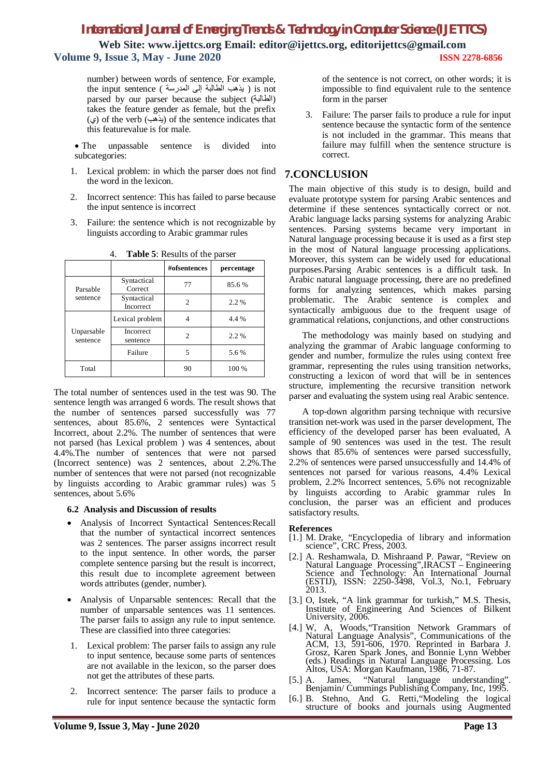**Web Site: www.ijettcs.org Email: editor@ijettcs.org, [editorijettcs@gmail.com](mailto:editorijettcs@gmail.com)  Volume 9, Issue 3, May - June 2020 ISSN 2278-6856**

number) between words of sentence, For example, the input sentence ( المدرسة إلى الطالبة یذھب ( is not parsed by our parser because the subject (الطالبة ( takes the feature gender as female, but the prefix (ي) of the verb (يذهب) of the sentence indicates that this featurevalue is for male.

- The unpassable sentence is divided into subcategories:
- 1. Lexical problem: in which the parser does not find the word in the lexicon.
- 2. Incorrect sentence: This has failed to parse because the input sentence is incorrect
- 3. Failure: the sentence which is not recognizable by linguists according to Arabic grammar rules

|                        |                                 | #ofsentences | percentage |
|------------------------|---------------------------------|--------------|------------|
| Parsable               | Syntactical<br>Correct          | 77           | 85.6%      |
| sentence               | Syntactical<br><b>Incorrect</b> | 2            | 2.2 %      |
|                        | Lexical problem                 |              | 4.4 %      |
| Unparsable<br>sentence | <b>Incorrect</b><br>sentence    |              | 2.2 %      |
|                        | Failure                         |              | 5.6 %      |
| Total                  |                                 | 90           | 100 %      |

4. **Table 5**: Results of the parser

The total number of sentences used in the test was 90. The sentence length was arranged 6 words. The result shows that the number of sentences parsed successfully was 77 sentences, about 85.6%, 2 sentences were Syntactical Incorrect, about 2.2%. The number of sentences that were not parsed (has Lexical problem ) was 4 sentences, about 4.4%.The number of sentences that were not parsed (Incorrect sentence) was 2 sentences, about 2.2%.The number of sentences that were not parsed (not recognizable by linguists according to Arabic grammar rules) was 5 sentences, about 5.6%

#### **6.2 Analysis and Discussion of results**

- Analysis of Incorrect Syntactical Sentences:Recall that the number of syntactical incorrect sentences was 2 sentences. The parser assigns incorrect result to the input sentence. In other words, the parser complete sentence parsing but the result is incorrect, this result due to incomplete agreement between words attributes (gender, number).
- Analysis of Unparsable sentences: Recall that the number of unparsable sentences was 11 sentences. The parser fails to assign any rule to input sentence. These are classified into three categories:
- 1. Lexical problem: The parser fails to assign any rule to input sentence, because some parts of sentences are not available in the lexicon, so the parser does not get the attributes of these parts.
- 2. Incorrect sentence: The parser fails to produce a rule for input sentence because the syntactic form

of the sentence is not correct, on other words; it is impossible to find equivalent rule to the sentence form in the parser

3. Failure: The parser fails to produce a rule for input sentence because the syntactic form of the sentence is not included in the grammar. This means that failure may fulfill when the sentence structure is correct.

## **7.CONCLUSION**

The main objective of this study is to design, build and evaluate prototype system for parsing Arabic sentences and determine if these sentences syntactically correct or not. Arabic language lacks parsing systems for analyzing Arabic sentences. Parsing systems became very important in Natural language processing because it is used as a first step in the most of Natural language processing applications. Moreover, this system can be widely used for educational purposes.Parsing Arabic sentences is a difficult task. In Arabic natural language processing, there are no predefined forms for analyzing sentences, which makes parsing problematic. The Arabic sentence is complex and syntactically ambiguous due to the frequent usage of grammatical relations, conjunctions, and other constructions

The methodology was mainly based on studying and analyzing the grammar of Arabic language conforming to gender and number, formulize the rules using context free grammar, representing the rules using transition networks, constructing a lexicon of word that will be in sentences structure, implementing the recursive transition network parser and evaluating the system using real Arabic sentence.

A top-down algorithm parsing technique with recursive transition net-work was used in the parser development, The efficiency of the developed parser has been evaluated, A sample of 90 sentences was used in the test. The result shows that 85.6% of sentences were parsed successfully, 2.2% of sentences were parsed unsuccessfully and 14.4% of sentences not parsed for various reasons, 4.4% Lexical problem, 2.2% Incorrect sentences, 5.6% not recognizable by linguists according to Arabic grammar rules In conclusion, the parser was an efficient and produces satisfactory results.

#### **References**

- [1.] M. Drake, "Encyclopedia of library and information science", CRC Press, 2003.
- [2.] A. Reshamwala, D. Mishraand P. Pawar, "Review on Natural Language Processing",IRACST – Engineering Science and Technology: An International Journal (ESTIJ), ISSN: 2250-3498, Vol.3, No.1, February 2013.
- [3.] O, Istek, "A link grammar for turkish," M.S. Thesis, Institute of Engineering And Sciences of Bilkent University, 2006.
- [4.] W, A, Woods,"Transition Network Grammars of Natural Language Analysis", Communications of the ACM, 13, 591-606, 1970. Reprinted in Barbara J. Grosz, Karen Spark Jones, and Bonnie Lynn Webber (eds.) Readings in Natural Language Processing. Los Altos, USA: Morgan Kaufmann, 1986, 71-87.
- [5.] A. James, "Natural language understanding". Benjamin/ Cummings Publishing Company, Inc, 1995.
- [6.] B. Stehno, And G. Retti,"Modeling the logical structure of books and journals using Augmented